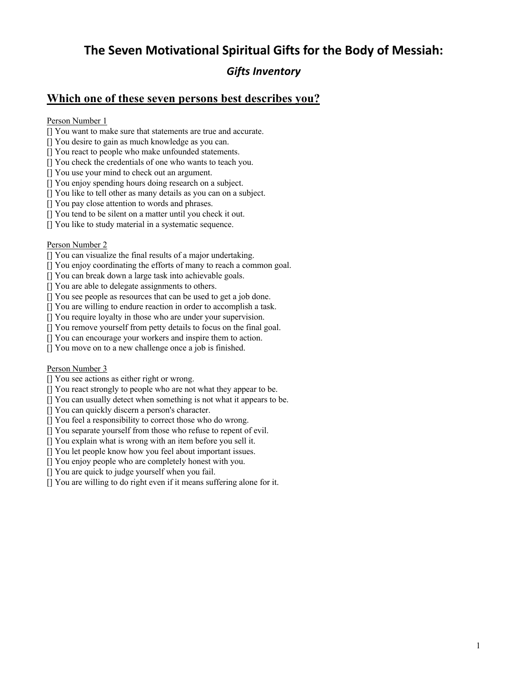# **The Seven Motivational Spiritual Gifts for the Body of Messiah:**

## *Gifts Inventory*

## **Which one of these seven persons best describes you?**

### Person Number 1

- [] You want to make sure that statements are true and accurate.
- [] You desire to gain as much knowledge as you can.
- [] You react to people who make unfounded statements.
- [] You check the credentials of one who wants to teach you.
- [] You use your mind to check out an argument.
- [] You enjoy spending hours doing research on a subject.
- [] You like to tell other as many details as you can on a subject.
- [] You pay close attention to words and phrases.
- [] You tend to be silent on a matter until you check it out.
- [] You like to study material in a systematic sequence.

### Person Number 2

- [] You can visualize the final results of a major undertaking.
- [] You enjoy coordinating the efforts of many to reach a common goal.
- [] You can break down a large task into achievable goals.
- [] You are able to delegate assignments to others.
- [] You see people as resources that can be used to get a job done.
- [] You are willing to endure reaction in order to accomplish a task.
- [] You require loyalty in those who are under your supervision.
- [] You remove yourself from petty details to focus on the final goal.
- [] You can encourage your workers and inspire them to action.
- [] You move on to a new challenge once a job is finished.

### Person Number 3

- [] You see actions as either right or wrong.
- [] You react strongly to people who are not what they appear to be.
- [] You can usually detect when something is not what it appears to be.
- [] You can quickly discern a person's character.
- [] You feel a responsibility to correct those who do wrong.
- [] You separate yourself from those who refuse to repent of evil.
- [] You explain what is wrong with an item before you sell it.
- [] You let people know how you feel about important issues.
- [] You enjoy people who are completely honest with you.
- [] You are quick to judge yourself when you fail.
- [] You are willing to do right even if it means suffering alone for it.